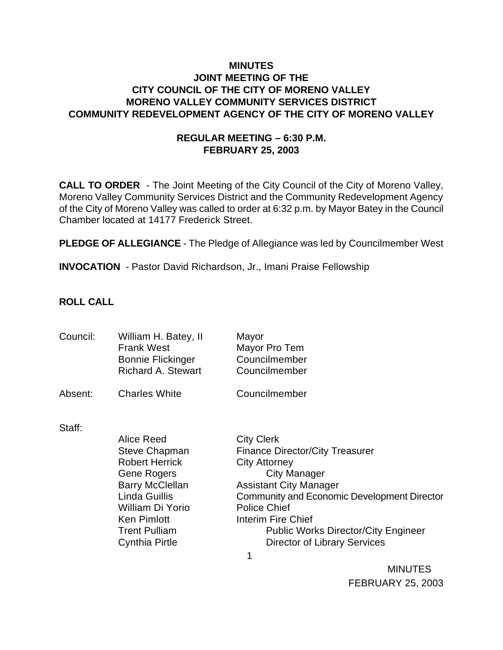## **MINUTES JOINT MEETING OF THE CITY COUNCIL OF THE CITY OF MORENO VALLEY MORENO VALLEY COMMUNITY SERVICES DISTRICT COMMUNITY REDEVELOPMENT AGENCY OF THE CITY OF MORENO VALLEY**

# **REGULAR MEETING – 6:30 P.M. FEBRUARY 25, 2003**

**CALL TO ORDER** - The Joint Meeting of the City Council of the City of Moreno Valley, Moreno Valley Community Services District and the Community Redevelopment Agency of the City of Moreno Valley was called to order at 6:32 p.m. by Mayor Batey in the Council Chamber located at 14177 Frederick Street.

**PLEDGE OF ALLEGIANCE** - The Pledge of Allegiance was led by Councilmember West

**INVOCATION** - Pastor David Richardson, Jr., Imani Praise Fellowship

## **ROLL CALL**

| Council: | William H. Batey, II<br><b>Frank West</b><br><b>Bonnie Flickinger</b><br><b>Richard A. Stewart</b> | Mayor<br>Mayor Pro Tem<br>Councilmember<br>Councilmember    |
|----------|----------------------------------------------------------------------------------------------------|-------------------------------------------------------------|
| Absent:  | <b>Charles White</b>                                                                               | Councilmember                                               |
| Staff:   | <b>Alice Reed</b>                                                                                  |                                                             |
|          | <b>Steve Chapman</b>                                                                               | <b>City Clerk</b><br><b>Finance Director/City Treasurer</b> |
|          | <b>Robert Herrick</b>                                                                              | <b>City Attorney</b>                                        |
|          | Gene Rogers                                                                                        | City Manager                                                |
|          | <b>Barry McClellan</b>                                                                             | <b>Assistant City Manager</b>                               |
|          | Linda Guillis                                                                                      | <b>Community and Economic Development Director</b>          |
|          | William Di Yorio                                                                                   | <b>Police Chief</b>                                         |
|          | <b>Ken Pimlott</b>                                                                                 | Interim Fire Chief                                          |
|          | <b>Trent Pulliam</b>                                                                               | <b>Public Works Director/City Engineer</b>                  |
|          | <b>Cynthia Pirtle</b>                                                                              | <b>Director of Library Services</b>                         |
|          |                                                                                                    | 1                                                           |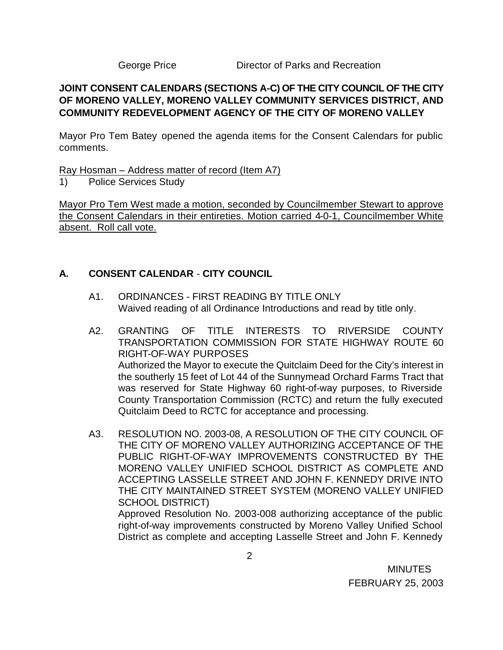George Price Director of Parks and Recreation

# **JOINT CONSENT CALENDARS (SECTIONS A-C) OF THE CITY COUNCIL OF THE CITY OF MORENO VALLEY, MORENO VALLEY COMMUNITY SERVICES DISTRICT, AND COMMUNITY REDEVELOPMENT AGENCY OF THE CITY OF MORENO VALLEY**

Mayor Pro Tem Batey opened the agenda items for the Consent Calendars for public comments.

Ray Hosman – Address matter of record (Item A7)

1) Police Services Study

Mayor Pro Tem West made a motion, seconded by Councilmember Stewart to approve the Consent Calendars in their entireties. Motion carried 4-0-1, Councilmember White absent. Roll call vote.

## **A. CONSENT CALENDAR** - **CITY COUNCIL**

- A1. ORDINANCES FIRST READING BY TITLE ONLY Waived reading of all Ordinance Introductions and read by title only.
- A2. GRANTING OF TITLE INTERESTS TO RIVERSIDE COUNTY TRANSPORTATION COMMISSION FOR STATE HIGHWAY ROUTE 60 RIGHT-OF-WAY PURPOSES Authorized the Mayor to execute the Quitclaim Deed for the City's interest in the southerly 15 feet of Lot 44 of the Sunnymead Orchard Farms Tract that was reserved for State Highway 60 right-of-way purposes, to Riverside County Transportation Commission (RCTC) and return the fully executed Quitclaim Deed to RCTC for acceptance and processing.
- A3. RESOLUTION NO. 2003-08, A RESOLUTION OF THE CITY COUNCIL OF THE CITY OF MORENO VALLEY AUTHORIZING ACCEPTANCE OF THE PUBLIC RIGHT-OF-WAY IMPROVEMENTS CONSTRUCTED BY THE MORENO VALLEY UNIFIED SCHOOL DISTRICT AS COMPLETE AND ACCEPTING LASSELLE STREET AND JOHN F. KENNEDY DRIVE INTO THE CITY MAINTAINED STREET SYSTEM (MORENO VALLEY UNIFIED SCHOOL DISTRICT)

Approved Resolution No. 2003-008 authorizing acceptance of the public right-of-way improvements constructed by Moreno Valley Unified School District as complete and accepting Lasselle Street and John F. Kennedy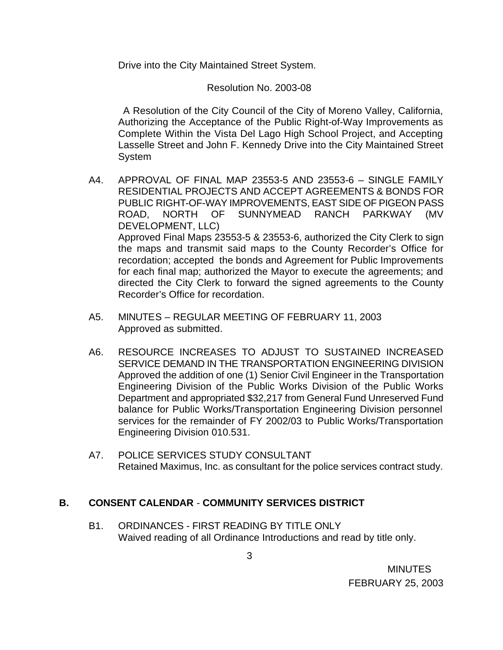Drive into the City Maintained Street System.

Resolution No. 2003-08

 A Resolution of the City Council of the City of Moreno Valley, California, Authorizing the Acceptance of the Public Right-of-Way Improvements as Complete Within the Vista Del Lago High School Project, and Accepting Lasselle Street and John F. Kennedy Drive into the City Maintained Street System

- A4. APPROVAL OF FINAL MAP 23553-5 AND 23553-6 SINGLE FAMILY RESIDENTIAL PROJECTS AND ACCEPT AGREEMENTS & BONDS FOR PUBLIC RIGHT-OF-WAY IMPROVEMENTS, EAST SIDE OF PIGEON PASS ROAD, NORTH OF SUNNYMEAD RANCH PARKWAY (MV DEVELOPMENT, LLC) Approved Final Maps 23553-5 & 23553-6, authorized the City Clerk to sign the maps and transmit said maps to the County Recorder's Office for recordation; accepted the bonds and Agreement for Public Improvements for each final map; authorized the Mayor to execute the agreements; and directed the City Clerk to forward the signed agreements to the County Recorder's Office for recordation.
- A5. MINUTES REGULAR MEETING OF FEBRUARY 11, 2003 Approved as submitted.
- A6. RESOURCE INCREASES TO ADJUST TO SUSTAINED INCREASED SERVICE DEMAND IN THE TRANSPORTATION ENGINEERING DIVISION Approved the addition of one (1) Senior Civil Engineer in the Transportation Engineering Division of the Public Works Division of the Public Works Department and appropriated \$32,217 from General Fund Unreserved Fund balance for Public Works/Transportation Engineering Division personnel services for the remainder of FY 2002/03 to Public Works/Transportation Engineering Division 010.531.
- A7. POLICE SERVICES STUDY CONSULTANT Retained Maximus, Inc. as consultant for the police services contract study.

# **B. CONSENT CALENDAR** - **COMMUNITY SERVICES DISTRICT**

B1. ORDINANCES - FIRST READING BY TITLE ONLY Waived reading of all Ordinance Introductions and read by title only.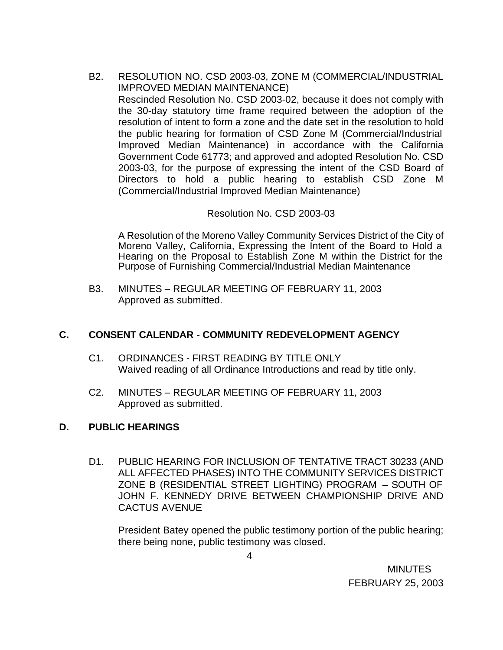B2. RESOLUTION NO. CSD 2003-03, ZONE M (COMMERCIAL/INDUSTRIAL IMPROVED MEDIAN MAINTENANCE) Rescinded Resolution No. CSD 2003-02, because it does not comply with the 30-day statutory time frame required between the adoption of the resolution of intent to form a zone and the date set in the resolution to hold the public hearing for formation of CSD Zone M (Commercial/Industrial Improved Median Maintenance) in accordance with the California Government Code 61773; and approved and adopted Resolution No. CSD 2003-03, for the purpose of expressing the intent of the CSD Board of Directors to hold a public hearing to establish CSD Zone M (Commercial/Industrial Improved Median Maintenance)

### Resolution No. CSD 2003-03

A Resolution of the Moreno Valley Community Services District of the City of Moreno Valley, California, Expressing the Intent of the Board to Hold a Hearing on the Proposal to Establish Zone M within the District for the Purpose of Furnishing Commercial/Industrial Median Maintenance

B3. MINUTES – REGULAR MEETING OF FEBRUARY 11, 2003 Approved as submitted.

### **C. CONSENT CALENDAR** - **COMMUNITY REDEVELOPMENT AGENCY**

- C1. ORDINANCES FIRST READING BY TITLE ONLY Waived reading of all Ordinance Introductions and read by title only.
- C2. MINUTES REGULAR MEETING OF FEBRUARY 11, 2003 Approved as submitted.

### **D. PUBLIC HEARINGS**

D1. PUBLIC HEARING FOR INCLUSION OF TENTATIVE TRACT 30233 (AND ALL AFFECTED PHASES) INTO THE COMMUNITY SERVICES DISTRICT ZONE B (RESIDENTIAL STREET LIGHTING) PROGRAM – SOUTH OF JOHN F. KENNEDY DRIVE BETWEEN CHAMPIONSHIP DRIVE AND CACTUS AVENUE

President Batey opened the public testimony portion of the public hearing; there being none, public testimony was closed.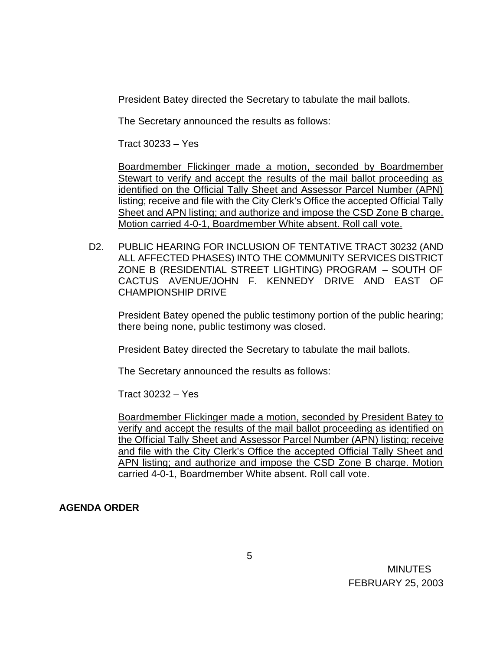President Batey directed the Secretary to tabulate the mail ballots.

The Secretary announced the results as follows:

Tract 30233 – Yes

Boardmember Flickinger made a motion, seconded by Boardmember Stewart to verify and accept the results of the mail ballot proceeding as identified on the Official Tally Sheet and Assessor Parcel Number (APN) listing; receive and file with the City Clerk's Office the accepted Official Tally Sheet and APN listing; and authorize and impose the CSD Zone B charge. Motion carried 4-0-1, Boardmember White absent. Roll call vote.

D2. PUBLIC HEARING FOR INCLUSION OF TENTATIVE TRACT 30232 (AND ALL AFFECTED PHASES) INTO THE COMMUNITY SERVICES DISTRICT ZONE B (RESIDENTIAL STREET LIGHTING) PROGRAM – SOUTH OF CACTUS AVENUE/JOHN F. KENNEDY DRIVE AND EAST OF CHAMPIONSHIP DRIVE

President Batey opened the public testimony portion of the public hearing; there being none, public testimony was closed.

President Batey directed the Secretary to tabulate the mail ballots.

The Secretary announced the results as follows:

Tract 30232 – Yes

Boardmember Flickinger made a motion, seconded by President Batey to verify and accept the results of the mail ballot proceeding as identified on the Official Tally Sheet and Assessor Parcel Number (APN) listing; receive and file with the City Clerk's Office the accepted Official Tally Sheet and APN listing; and authorize and impose the CSD Zone B charge. Motion carried 4-0-1, Boardmember White absent. Roll call vote.

### **AGENDA ORDER**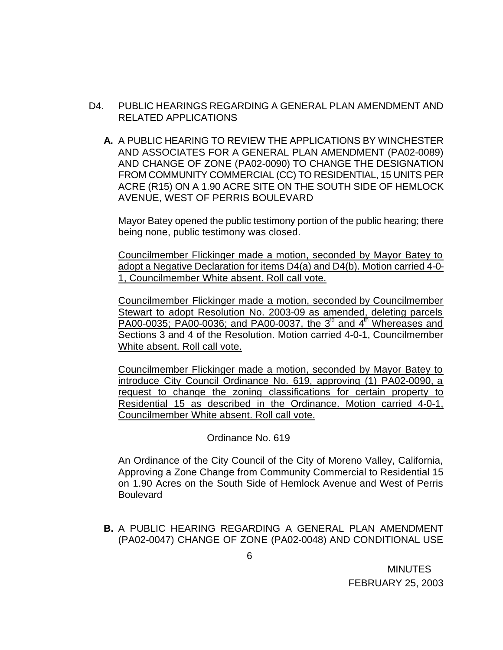- D4. PUBLIC HEARINGS REGARDING A GENERAL PLAN AMENDMENT AND RELATED APPLICATIONS
	- **A.** A PUBLIC HEARING TO REVIEW THE APPLICATIONS BY WINCHESTER AND ASSOCIATES FOR A GENERAL PLAN AMENDMENT (PA02-0089) AND CHANGE OF ZONE (PA02-0090) TO CHANGE THE DESIGNATION FROM COMMUNITY COMMERCIAL (CC) TO RESIDENTIAL, 15 UNITS PER ACRE (R15) ON A 1.90 ACRE SITE ON THE SOUTH SIDE OF HEMLOCK AVENUE, WEST OF PERRIS BOULEVARD

Mayor Batey opened the public testimony portion of the public hearing; there being none, public testimony was closed.

Councilmember Flickinger made a motion, seconded by Mayor Batey to adopt a Negative Declaration for items D4(a) and D4(b). Motion carried 4-0- 1, Councilmember White absent. Roll call vote.

Councilmember Flickinger made a motion, seconded by Councilmember Stewart to adopt Resolution No. 2003-09 as amended, deleting parcels PA00-0035; PA00-0036; and PA00-0037, the  $3<sup>rd</sup>$  and  $4<sup>th</sup>$  Whereases and Sections 3 and 4 of the Resolution. Motion carried 4-0-1, Councilmember White absent. Roll call vote.

Councilmember Flickinger made a motion, seconded by Mayor Batey to introduce City Council Ordinance No. 619, approving (1) PA02-0090, a request to change the zoning classifications for certain property to Residential 15 as described in the Ordinance. Motion carried 4-0-1, Councilmember White absent. Roll call vote.

### Ordinance No. 619

An Ordinance of the City Council of the City of Moreno Valley, California, Approving a Zone Change from Community Commercial to Residential 15 on 1.90 Acres on the South Side of Hemlock Avenue and West of Perris Boulevard

**B.** A PUBLIC HEARING REGARDING A GENERAL PLAN AMENDMENT (PA02-0047) CHANGE OF ZONE (PA02-0048) AND CONDITIONAL USE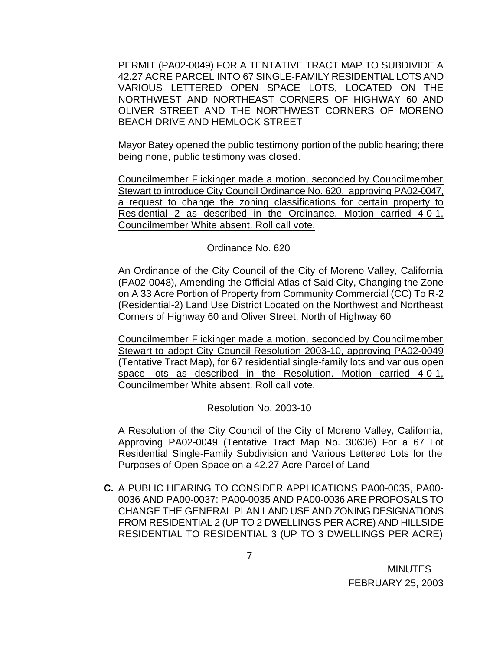PERMIT (PA02-0049) FOR A TENTATIVE TRACT MAP TO SUBDIVIDE A 42.27 ACRE PARCEL INTO 67 SINGLE-FAMILY RESIDENTIAL LOTS AND VARIOUS LETTERED OPEN SPACE LOTS, LOCATED ON THE NORTHWEST AND NORTHEAST CORNERS OF HIGHWAY 60 AND OLIVER STREET AND THE NORTHWEST CORNERS OF MORENO BEACH DRIVE AND HEMLOCK STREET

Mayor Batey opened the public testimony portion of the public hearing; there being none, public testimony was closed.

Councilmember Flickinger made a motion, seconded by Councilmember Stewart to introduce City Council Ordinance No. 620, approving PA02-0047, a request to change the zoning classifications for certain property to Residential 2 as described in the Ordinance. Motion carried 4-0-1, Councilmember White absent. Roll call vote.

Ordinance No. 620

An Ordinance of the City Council of the City of Moreno Valley, California (PA02-0048), Amending the Official Atlas of Said City, Changing the Zone on A 33 Acre Portion of Property from Community Commercial (CC) To R-2 (Residential-2) Land Use District Located on the Northwest and Northeast Corners of Highway 60 and Oliver Street, North of Highway 60

Councilmember Flickinger made a motion, seconded by Councilmember Stewart to adopt City Council Resolution 2003-10, approving PA02-0049 (Tentative Tract Map), for 67 residential single-family lots and various open space lots as described in the Resolution. Motion carried 4-0-1, Councilmember White absent. Roll call vote.

Resolution No. 2003-10

A Resolution of the City Council of the City of Moreno Valley, California, Approving PA02-0049 (Tentative Tract Map No. 30636) For a 67 Lot Residential Single-Family Subdivision and Various Lettered Lots for the Purposes of Open Space on a 42.27 Acre Parcel of Land

**C.** A PUBLIC HEARING TO CONSIDER APPLICATIONS PA00-0035, PA00- 0036 AND PA00-0037: PA00-0035 AND PA00-0036 ARE PROPOSALS TO CHANGE THE GENERAL PLAN LAND USE AND ZONING DESIGNATIONS FROM RESIDENTIAL 2 (UP TO 2 DWELLINGS PER ACRE) AND HILLSIDE RESIDENTIAL TO RESIDENTIAL 3 (UP TO 3 DWELLINGS PER ACRE)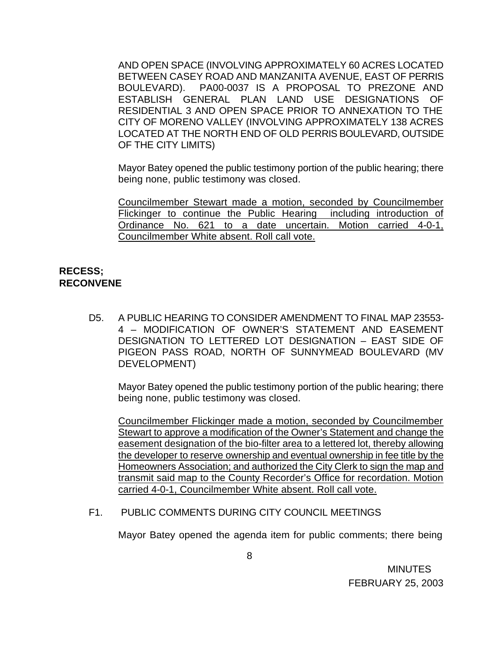AND OPEN SPACE (INVOLVING APPROXIMATELY 60 ACRES LOCATED BETWEEN CASEY ROAD AND MANZANITA AVENUE, EAST OF PERRIS BOULEVARD). PA00-0037 IS A PROPOSAL TO PREZONE AND ESTABLISH GENERAL PLAN LAND USE DESIGNATIONS OF RESIDENTIAL 3 AND OPEN SPACE PRIOR TO ANNEXATION TO THE CITY OF MORENO VALLEY (INVOLVING APPROXIMATELY 138 ACRES LOCATED AT THE NORTH END OF OLD PERRIS BOULEVARD, OUTSIDE OF THE CITY LIMITS)

Mayor Batey opened the public testimony portion of the public hearing; there being none, public testimony was closed.

Councilmember Stewart made a motion, seconded by Councilmember Flickinger to continue the Public Hearing including introduction of Ordinance No. 621 to a date uncertain. Motion carried 4-0-1, Councilmember White absent. Roll call vote.

## **RECESS; RECONVENE**

D5. A PUBLIC HEARING TO CONSIDER AMENDMENT TO FINAL MAP 23553- 4 – MODIFICATION OF OWNER'S STATEMENT AND EASEMENT DESIGNATION TO LETTERED LOT DESIGNATION – EAST SIDE OF PIGEON PASS ROAD, NORTH OF SUNNYMEAD BOULEVARD (MV DEVELOPMENT)

Mayor Batey opened the public testimony portion of the public hearing; there being none, public testimony was closed.

Councilmember Flickinger made a motion, seconded by Councilmember Stewart to approve a modification of the Owner's Statement and change the easement designation of the bio-filter area to a lettered lot, thereby allowing the developer to reserve ownership and eventual ownership in fee title by the Homeowners Association; and authorized the City Clerk to sign the map and transmit said map to the County Recorder's Office for recordation. Motion carried 4-0-1, Councilmember White absent. Roll call vote.

### F1. PUBLIC COMMENTS DURING CITY COUNCIL MEETINGS

Mayor Batey opened the agenda item for public comments; there being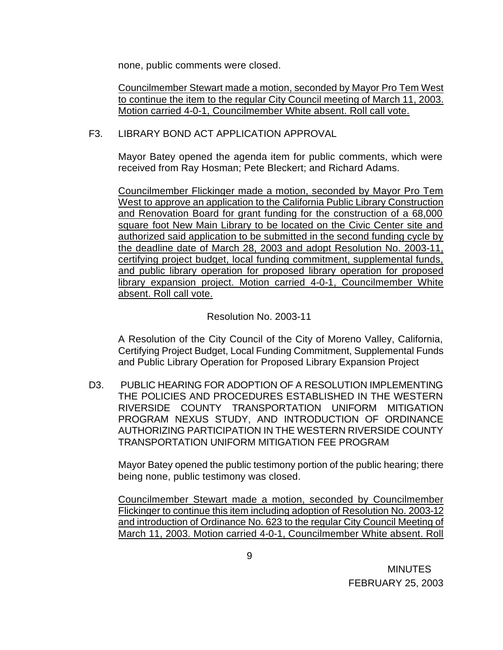none, public comments were closed.

Councilmember Stewart made a motion, seconded by Mayor Pro Tem West to continue the item to the regular City Council meeting of March 11, 2003. Motion carried 4-0-1, Councilmember White absent. Roll call vote.

### F3. LIBRARY BOND ACT APPLICATION APPROVAL

Mayor Batey opened the agenda item for public comments, which were received from Ray Hosman; Pete Bleckert; and Richard Adams.

Councilmember Flickinger made a motion, seconded by Mayor Pro Tem West to approve an application to the California Public Library Construction and Renovation Board for grant funding for the construction of a 68,000 square foot New Main Library to be located on the Civic Center site and authorized said application to be submitted in the second funding cycle by the deadline date of March 28, 2003 and adopt Resolution No. 2003-11, certifying project budget, local funding commitment, supplemental funds, and public library operation for proposed library operation for proposed library expansion project. Motion carried 4-0-1, Councilmember White absent. Roll call vote.

Resolution No. 2003-11

A Resolution of the City Council of the City of Moreno Valley, California, Certifying Project Budget, Local Funding Commitment, Supplemental Funds and Public Library Operation for Proposed Library Expansion Project

D3. PUBLIC HEARING FOR ADOPTION OF A RESOLUTION IMPLEMENTING THE POLICIES AND PROCEDURES ESTABLISHED IN THE WESTERN RIVERSIDE COUNTY TRANSPORTATION UNIFORM MITIGATION PROGRAM NEXUS STUDY, AND INTRODUCTION OF ORDINANCE AUTHORIZING PARTICIPATION IN THE WESTERN RIVERSIDE COUNTY TRANSPORTATION UNIFORM MITIGATION FEE PROGRAM

Mayor Batey opened the public testimony portion of the public hearing; there being none, public testimony was closed.

Councilmember Stewart made a motion, seconded by Councilmember Flickinger to continue this item including adoption of Resolution No. 2003-12 and introduction of Ordinance No. 623 to the regular City Council Meeting of March 11, 2003. Motion carried 4-0-1, Councilmember White absent. Roll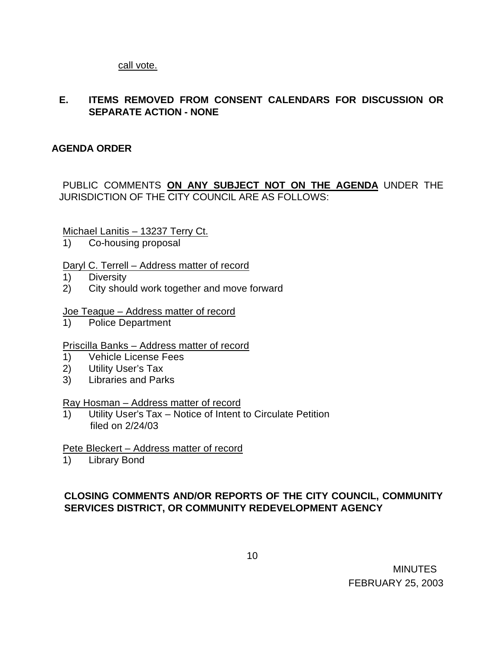call vote.

# **E. ITEMS REMOVED FROM CONSENT CALENDARS FOR DISCUSSION OR SEPARATE ACTION - NONE**

## **AGENDA ORDER**

## PUBLIC COMMENTS **ON ANY SUBJECT NOT ON THE AGENDA** UNDER THE JURISDICTION OF THE CITY COUNCIL ARE AS FOLLOWS:

Michael Lanitis – 13237 Terry Ct.

1) Co-housing proposal

### Daryl C. Terrell – Address matter of record

- 1) Diversity
- 2) City should work together and move forward

### Joe Teague – Address matter of record

1) Police Department

### Priscilla Banks – Address matter of record

- 1) Vehicle License Fees
- 2) Utility User's Tax
- 3) Libraries and Parks

### Ray Hosman – Address matter of record

1) Utility User's Tax – Notice of Intent to Circulate Petition filed on 2/24/03

### Pete Bleckert – Address matter of record

1) Library Bond

# **CLOSING COMMENTS AND/OR REPORTS OF THE CITY COUNCIL, COMMUNITY SERVICES DISTRICT, OR COMMUNITY REDEVELOPMENT AGENCY**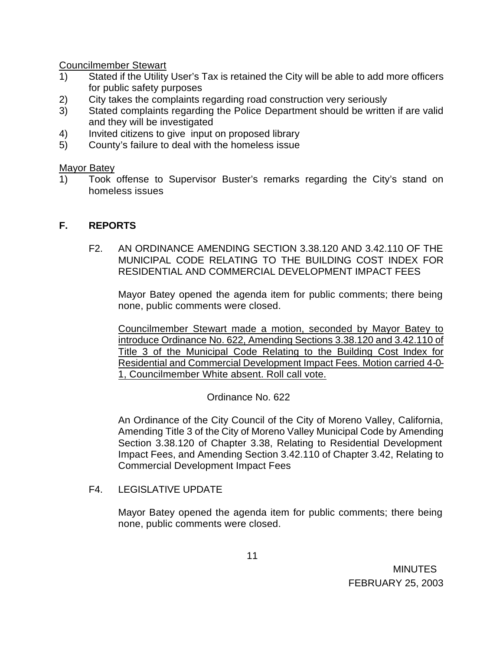Councilmember Stewart

- 1) Stated if the Utility User's Tax is retained the City will be able to add more officers for public safety purposes
- 2) City takes the complaints regarding road construction very seriously
- 3) Stated complaints regarding the Police Department should be written if are valid and they will be investigated
- 4) Invited citizens to give input on proposed library
- 5) County's failure to deal with the homeless issue

#### Mayor Batey

1) Took offense to Supervisor Buster's remarks regarding the City's stand on homeless issues

### **F. REPORTS**

F2. AN ORDINANCE AMENDING SECTION 3.38.120 AND 3.42.110 OF THE MUNICIPAL CODE RELATING TO THE BUILDING COST INDEX FOR RESIDENTIAL AND COMMERCIAL DEVELOPMENT IMPACT FEES

Mayor Batey opened the agenda item for public comments; there being none, public comments were closed.

Councilmember Stewart made a motion, seconded by Mayor Batey to introduce Ordinance No. 622, Amending Sections 3.38.120 and 3.42.110 of Title 3 of the Municipal Code Relating to the Building Cost Index for Residential and Commercial Development Impact Fees. Motion carried 4-0- 1, Councilmember White absent. Roll call vote.

Ordinance No. 622

An Ordinance of the City Council of the City of Moreno Valley, California, Amending Title 3 of the City of Moreno Valley Municipal Code by Amending Section 3.38.120 of Chapter 3.38, Relating to Residential Development Impact Fees, and Amending Section 3.42.110 of Chapter 3.42, Relating to Commercial Development Impact Fees

F4. LEGISLATIVE UPDATE

Mayor Batey opened the agenda item for public comments; there being none, public comments were closed.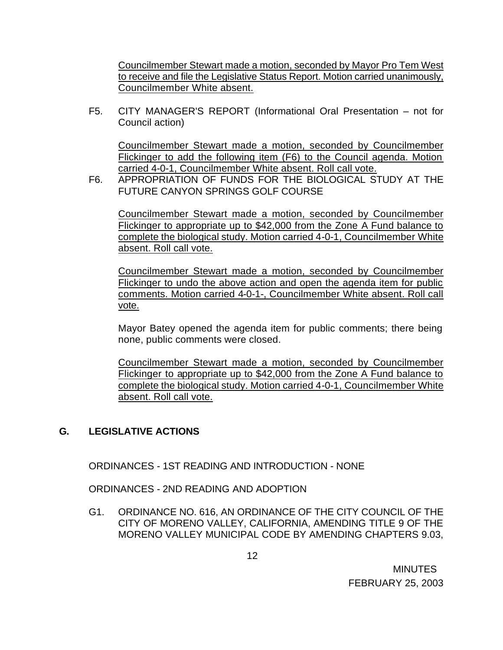Councilmember Stewart made a motion, seconded by Mayor Pro Tem West to receive and file the Legislative Status Report. Motion carried unanimously, Councilmember White absent.

F5. CITY MANAGER'S REPORT (Informational Oral Presentation – not for Council action)

Councilmember Stewart made a motion, seconded by Councilmember Flickinger to add the following item (F6) to the Council agenda. Motion carried 4-0-1, Councilmember White absent. Roll call vote.

F6. APPROPRIATION OF FUNDS FOR THE BIOLOGICAL STUDY AT THE FUTURE CANYON SPRINGS GOLF COURSE

Councilmember Stewart made a motion, seconded by Councilmember Flickinger to appropriate up to \$42,000 from the Zone A Fund balance to complete the biological study. Motion carried 4-0-1, Councilmember White absent. Roll call vote.

Councilmember Stewart made a motion, seconded by Councilmember Flickinger to undo the above action and open the agenda item for public comments. Motion carried 4-0-1-, Councilmember White absent. Roll call vote.

Mayor Batey opened the agenda item for public comments; there being none, public comments were closed.

Councilmember Stewart made a motion, seconded by Councilmember Flickinger to appropriate up to \$42,000 from the Zone A Fund balance to complete the biological study. Motion carried 4-0-1, Councilmember White absent. Roll call vote.

# **G. LEGISLATIVE ACTIONS**

ORDINANCES - 1ST READING AND INTRODUCTION - NONE

ORDINANCES - 2ND READING AND ADOPTION

G1. ORDINANCE NO. 616, AN ORDINANCE OF THE CITY COUNCIL OF THE CITY OF MORENO VALLEY, CALIFORNIA, AMENDING TITLE 9 OF THE MORENO VALLEY MUNICIPAL CODE BY AMENDING CHAPTERS 9.03,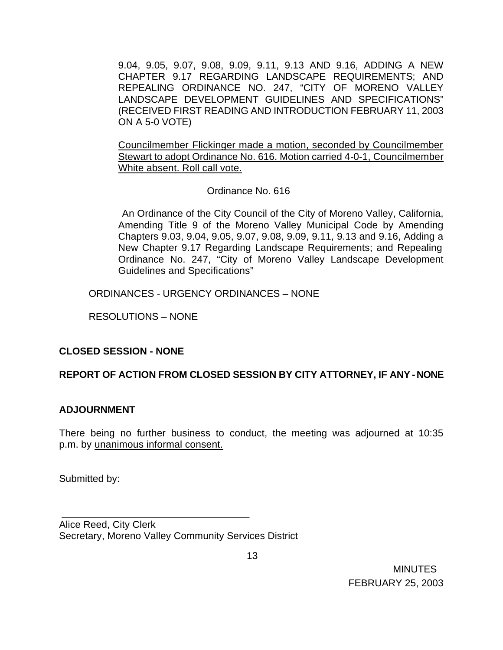9.04, 9.05, 9.07, 9.08, 9.09, 9.11, 9.13 AND 9.16, ADDING A NEW CHAPTER 9.17 REGARDING LANDSCAPE REQUIREMENTS; AND REPEALING ORDINANCE NO. 247, "CITY OF MORENO VALLEY LANDSCAPE DEVELOPMENT GUIDELINES AND SPECIFICATIONS" (RECEIVED FIRST READING AND INTRODUCTION FEBRUARY 11, 2003 ON A 5-0 VOTE)

Councilmember Flickinger made a motion, seconded by Councilmember Stewart to adopt Ordinance No. 616. Motion carried 4-0-1, Councilmember White absent. Roll call vote.

# Ordinance No. 616

 An Ordinance of the City Council of the City of Moreno Valley, California, Amending Title 9 of the Moreno Valley Municipal Code by Amending Chapters 9.03, 9.04, 9.05, 9.07, 9.08, 9.09, 9.11, 9.13 and 9.16, Adding a New Chapter 9.17 Regarding Landscape Requirements; and Repealing Ordinance No. 247, "City of Moreno Valley Landscape Development Guidelines and Specifications"

ORDINANCES - URGENCY ORDINANCES – NONE

RESOLUTIONS – NONE

# **CLOSED SESSION - NONE**

# **REPORT OF ACTION FROM CLOSED SESSION BY CITY ATTORNEY, IF ANY - NONE**

### **ADJOURNMENT**

There being no further business to conduct, the meeting was adjourned at 10:35 p.m. by unanimous informal consent.

Submitted by:

Alice Reed, City Clerk Secretary, Moreno Valley Community Services District

\_\_\_\_\_\_\_\_\_\_\_\_\_\_\_\_\_\_\_\_\_\_\_\_\_\_\_\_\_\_\_\_\_\_